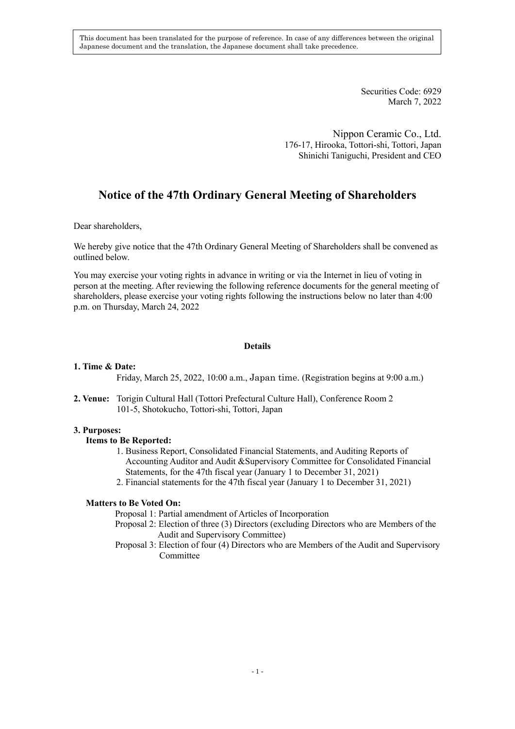This document has been translated for the purpose of reference. In case of any differences between the original Japanese document and the translation, the Japanese document shall take precedence.

> Securities Code: 6929 March 7, 2022

Nippon Ceramic Co., Ltd. 176-17, Hirooka, Tottori-shi, Tottori, Japan Shinichi Taniguchi, President and CEO

# **Notice of the 47th Ordinary General Meeting of Shareholders**

Dear shareholders,

We hereby give notice that the 47th Ordinary General Meeting of Shareholders shall be convened as outlined below.

You may exercise your voting rights in advance in writing or via the Internet in lieu of voting in person at the meeting. After reviewing the following reference documents for the general meeting of shareholders, please exercise your voting rights following the instructions below no later than 4:00 p.m. on Thursday, March 24, 2022

## **Details**

### **1. Time & Date:**

Friday, March 25, 2022, 10:00 a.m., Japan time. (Registration begins at 9:00 a.m.)

**2. Venue:** Torigin Cultural Hall (Tottori Prefectural Culture Hall), Conference Room 2 101-5, Shotokucho, Tottori-shi, Tottori, Japan

### **3. Purposes:**

### **Items to Be Reported:**

- 1. Business Report, Consolidated Financial Statements, and Auditing Reports of Accounting Auditor and Audit &Supervisory Committee for Consolidated Financial Statements, for the 47th fiscal year (January 1 to December 31, 2021)
- 2. Financial statements for the 47th fiscal year (January 1 to December 31, 2021)

### **Matters to Be Voted On:**

Proposal 1: Partial amendment of Articles of Incorporation

- Proposal 2: Election of three (3) Directors (excluding Directors who are Members of the Audit and Supervisory Committee)
- Proposal 3: Election of four (4) Directors who are Members of the Audit and Supervisory Committee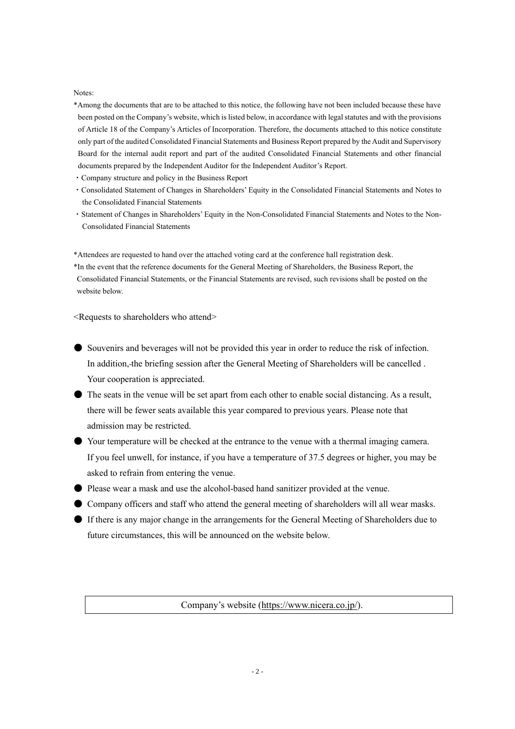#### Notes:

- \*Among the documents that are to be attached to this notice, the following have not been included because these have been posted on the Company's website, which is listed below, in accordance with legal statutes and with the provisions of Article 18 of the Company's Articles of Incorporation. Therefore, the documents attached to this notice constitute only part of the audited Consolidated Financial Statements and Business Report prepared by the Audit and Supervisory Board for the internal audit report and part of the audited Consolidated Financial Statements and other financial documents prepared by the Independent Auditor for the Independent Auditor's Report.
- ・Company structure and policy in the Business Report
- ・Consolidated Statement of Changes in Shareholders' Equity in the Consolidated Financial Statements and Notes to the Consolidated Financial Statements
- ・Statement of Changes in Shareholders' Equity in the Non-Consolidated Financial Statements and Notes to the Non-Consolidated Financial Statements

\*Attendees are requested to hand over the attached voting card at the conference hall registration desk. \*In the event that the reference documents for the General Meeting of Shareholders, the Business Report, the Consolidated Financial Statements, or the Financial Statements are revised, such revisions shall be posted on the website below.

<Requests to shareholders who attend>

- Souvenirs and beverages will not be provided this year in order to reduce the risk of infection. In addition, the briefing session after the General Meeting of Shareholders will be cancelled . Your cooperation is appreciated.
- The seats in the venue will be set apart from each other to enable social distancing. As a result, there will be fewer seats available this year compared to previous years. Please note that admission may be restricted.
- Your temperature will be checked at the entrance to the venue with a thermal imaging camera. If you feel unwell, for instance, if you have a temperature of 37.5 degrees or higher, you may be asked to refrain from entering the venue.
- Please wear a mask and use the alcohol-based hand sanitizer provided at the venue.
- Company officers and staff who attend the general meeting of shareholders will all wear masks.
- If there is any major change in the arrangements for the General Meeting of Shareholders due to future circumstances, this will be announced on the website below.

Company's website [\(https://www.nicera.co.jp/\)](https://www.nicera.co.jp/).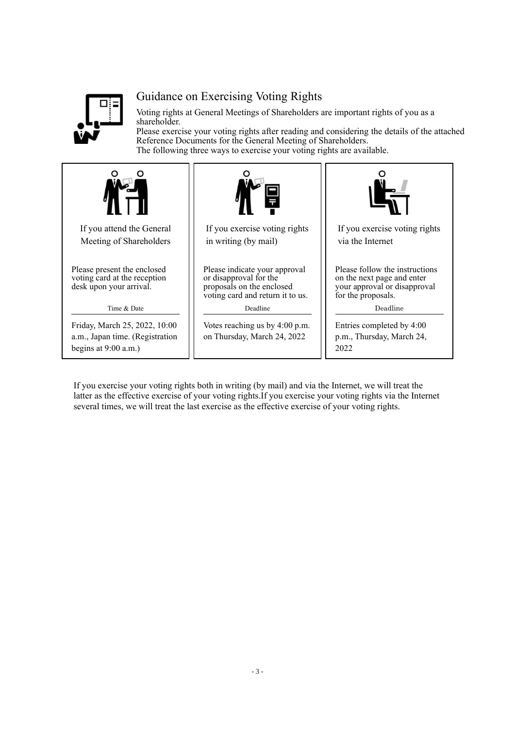

# Guidance on Exercising Voting Rights

Voting rights at General Meetings of Shareholders are important rights of you as a shareholder.

Please exercise your voting rights after reading and considering the details of the attached Reference Documents for the General Meeting of Shareholders. The following three ways to exercise your voting rights are available.



If you exercise your voting rights both in writing (by mail) and via the Internet, we will treat the latter as the effective exercise of your voting rights.If you exercise your voting rights via the Internet several times, we will treat the last exercise as the effective exercise of your voting rights.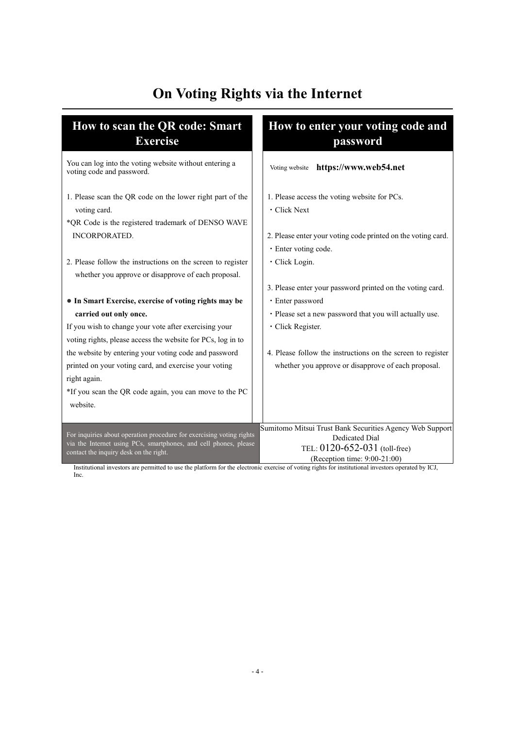# **On Voting Rights via the Internet**

| How to scan the QR code: Smart<br><b>Exercise</b>                                                                                                                                  | How to enter your voting code and<br>password                                                                                                            |
|------------------------------------------------------------------------------------------------------------------------------------------------------------------------------------|----------------------------------------------------------------------------------------------------------------------------------------------------------|
| You can log into the voting website without entering a<br>voting code and password.                                                                                                | Voting website https://www.web54.net                                                                                                                     |
| 1. Please scan the QR code on the lower right part of the<br>voting card.                                                                                                          | 1. Please access the voting website for PCs.<br>· Click Next                                                                                             |
| *QR Code is the registered trademark of DENSO WAVE<br><b>INCORPORATED.</b>                                                                                                         | 2. Please enter your voting code printed on the voting card.<br>· Enter voting code.                                                                     |
| 2. Please follow the instructions on the screen to register<br>whether you approve or disapprove of each proposal.                                                                 | · Click Login.                                                                                                                                           |
| • In Smart Exercise, exercise of voting rights may be                                                                                                                              | 3. Please enter your password printed on the voting card.<br>· Enter password                                                                            |
| carried out only once.                                                                                                                                                             | · Please set a new password that you will actually use.                                                                                                  |
| If you wish to change your vote after exercising your<br>voting rights, please access the website for PCs, log in to                                                               | · Click Register.                                                                                                                                        |
| the website by entering your voting code and password<br>printed on your voting card, and exercise your voting<br>right again.                                                     | 4. Please follow the instructions on the screen to register<br>whether you approve or disapprove of each proposal.                                       |
| *If you scan the QR code again, you can move to the PC<br>website.                                                                                                                 |                                                                                                                                                          |
| For inquiries about operation procedure for exercising voting rights<br>via the Internet using PCs, smartphones, and cell phones, please<br>contact the inquiry desk on the right. | Sumitomo Mitsui Trust Bank Securities Agency Web Support<br><b>Dedicated Dial</b><br>TEL: $0120 - 652 - 031$ (toll-free)<br>(Reception time: 9:00-21:00) |

Institutional investors are permitted to use the platform for the electronic exercise of voting rights for institutional investors operated by ICJ, Inc.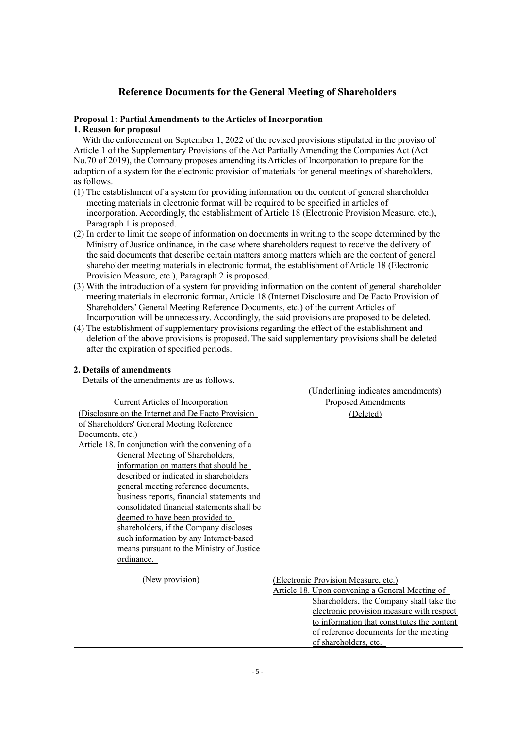# **Reference Documents for the General Meeting of Shareholders**

# **Proposal 1: Partial Amendments to the Articles of Incorporation**

# **1. Reason for proposal**

With the enforcement on September 1, 2022 of the revised provisions stipulated in the proviso of Article 1 of the Supplementary Provisions of the Act Partially Amending the Companies Act (Act No.70 of 2019), the Company proposes amending its Articles of Incorporation to prepare for the adoption of a system for the electronic provision of materials for general meetings of shareholders, as follows.

- (1) The establishment of a system for providing information on the content of general shareholder meeting materials in electronic format will be required to be specified in articles of incorporation. Accordingly, the establishment of Article 18 (Electronic Provision Measure, etc.), Paragraph 1 is proposed.
- (2) In order to limit the scope of information on documents in writing to the scope determined by the Ministry of Justice ordinance, in the case where shareholders request to receive the delivery of the said documents that describe certain matters among matters which are the content of general shareholder meeting materials in electronic format, the establishment of Article 18 (Electronic Provision Measure, etc.), Paragraph 2 is proposed.
- (3) With the introduction of a system for providing information on the content of general shareholder meeting materials in electronic format, Article 18 (Internet Disclosure and De Facto Provision of Shareholders' General Meeting Reference Documents, etc.) of the current Articles of Incorporation will be unnecessary. Accordingly, the said provisions are proposed to be deleted.
- (4) The establishment of supplementary provisions regarding the effect of the establishment and deletion of the above provisions is proposed. The said supplementary provisions shall be deleted after the expiration of specified periods.

# **2. Details of amendments**

Details of the amendments are as follows.

|                                                    | (Underlining indicates amendments)              |
|----------------------------------------------------|-------------------------------------------------|
| <b>Current Articles of Incorporation</b>           | Proposed Amendments                             |
| (Disclosure on the Internet and De Facto Provision | (Deleted)                                       |
| of Shareholders' General Meeting Reference         |                                                 |
| Documents, etc.)                                   |                                                 |
| Article 18. In conjunction with the convening of a |                                                 |
| General Meeting of Shareholders,                   |                                                 |
| information on matters that should be              |                                                 |
| described or indicated in shareholders'            |                                                 |
| general meeting reference documents,               |                                                 |
| business reports, financial statements and         |                                                 |
| consolidated financial statements shall be         |                                                 |
| deemed to have been provided to                    |                                                 |
| shareholders, if the Company discloses             |                                                 |
| such information by any Internet-based             |                                                 |
| means pursuant to the Ministry of Justice          |                                                 |
| ordinance.                                         |                                                 |
| (New provision)                                    | (Electronic Provision Measure, etc.)            |
|                                                    | Article 18. Upon convening a General Meeting of |
|                                                    | Shareholders, the Company shall take the        |
|                                                    | electronic provision measure with respect       |
|                                                    | to information that constitutes the content     |
|                                                    | of reference documents for the meeting          |
|                                                    | of shareholders, etc.                           |
|                                                    |                                                 |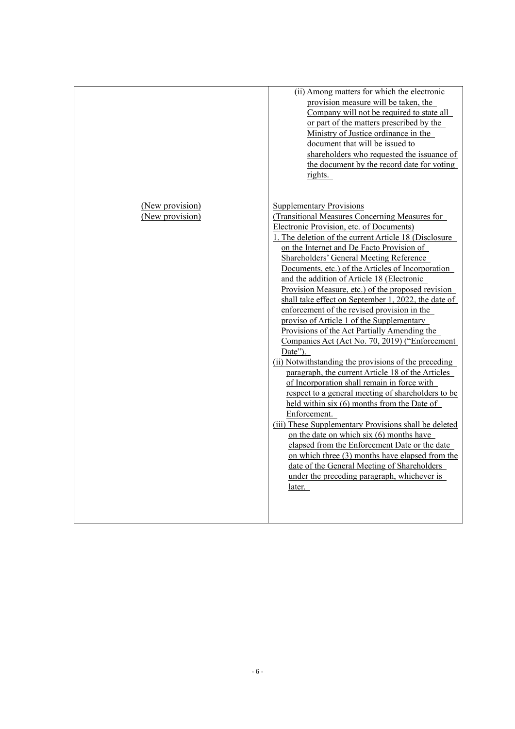| (ii) Among matters for which the electronic<br>provision measure will be taken, the<br>Company will not be required to state all<br>or part of the matters prescribed by the<br>Ministry of Justice ordinance in the<br>document that will be issued to<br>shareholders who requested the issuance of<br>the document by the record date for voting<br>rights.<br>(New provision)<br><b>Supplementary Provisions</b><br>(New provision)<br>(Transitional Measures Concerning Measures for<br>Electronic Provision, etc. of Documents)<br>1. The deletion of the current Article 18 (Disclosure<br>on the Internet and De Facto Provision of<br><b>Shareholders' General Meeting Reference</b><br>Documents, etc.) of the Articles of Incorporation<br>and the addition of Article 18 (Electronic<br>Provision Measure, etc.) of the proposed revision<br>shall take effect on September 1, 2022, the date of<br>enforcement of the revised provision in the<br>proviso of Article 1 of the Supplementary<br>Provisions of the Act Partially Amending the<br>Companies Act (Act No. 70, 2019) ("Enforcement<br>$Date$ ").<br>(ii) Notwithstanding the provisions of the preceding<br>paragraph, the current Article 18 of the Articles<br>of Incorporation shall remain in force with<br>respect to a general meeting of shareholders to be<br>held within six (6) months from the Date of<br>Enforcement.<br>(iii) These Supplementary Provisions shall be deleted<br>on the date on which six $(6)$ months have<br>elapsed from the Enforcement Date or the date<br>on which three (3) months have elapsed from the<br>date of the General Meeting of Shareholders<br>under the preceding paragraph, whichever is<br>later. |  |
|------------------------------------------------------------------------------------------------------------------------------------------------------------------------------------------------------------------------------------------------------------------------------------------------------------------------------------------------------------------------------------------------------------------------------------------------------------------------------------------------------------------------------------------------------------------------------------------------------------------------------------------------------------------------------------------------------------------------------------------------------------------------------------------------------------------------------------------------------------------------------------------------------------------------------------------------------------------------------------------------------------------------------------------------------------------------------------------------------------------------------------------------------------------------------------------------------------------------------------------------------------------------------------------------------------------------------------------------------------------------------------------------------------------------------------------------------------------------------------------------------------------------------------------------------------------------------------------------------------------------------------------------------------------------------------------------------------------------------|--|
|                                                                                                                                                                                                                                                                                                                                                                                                                                                                                                                                                                                                                                                                                                                                                                                                                                                                                                                                                                                                                                                                                                                                                                                                                                                                                                                                                                                                                                                                                                                                                                                                                                                                                                                              |  |
|                                                                                                                                                                                                                                                                                                                                                                                                                                                                                                                                                                                                                                                                                                                                                                                                                                                                                                                                                                                                                                                                                                                                                                                                                                                                                                                                                                                                                                                                                                                                                                                                                                                                                                                              |  |
|                                                                                                                                                                                                                                                                                                                                                                                                                                                                                                                                                                                                                                                                                                                                                                                                                                                                                                                                                                                                                                                                                                                                                                                                                                                                                                                                                                                                                                                                                                                                                                                                                                                                                                                              |  |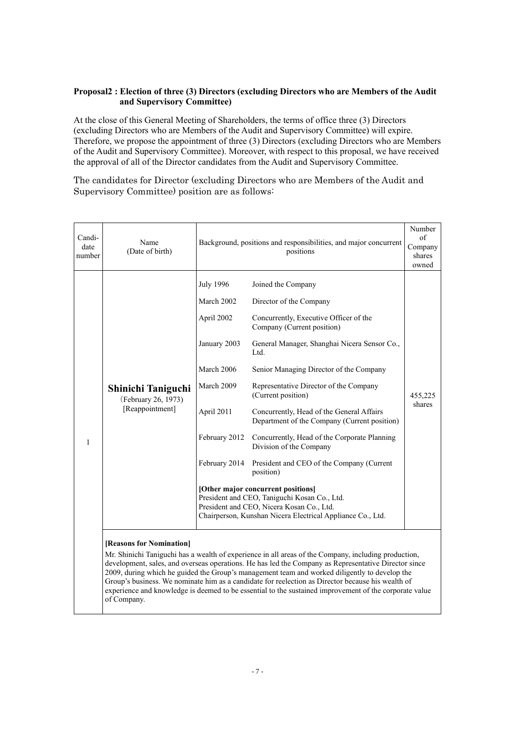# **Proposal2 : Election of three (3) Directors (excluding Directors who are Members of the Audit and Supervisory Committee)**

At the close of this General Meeting of Shareholders, the terms of office three (3) Directors (excluding Directors who are Members of the Audit and Supervisory Committee) will expire. Therefore, we propose the appointment of three (3) Directors (excluding Directors who are Members of the Audit and Supervisory Committee). Moreover, with respect to this proposal, we have received the approval of all of the Director candidates from the Audit and Supervisory Committee.

The candidates for Director (excluding Directors who are Members of the Audit and Supervisory Committee) position are as follows:

| Candi-<br>date<br>number | Name<br>(Date of birth)                                                                                                                                                                                                                                                                                                                                                                                                                                                                                                                                                 | Background, positions and responsibilities, and major concurrent                                                                                                                              | Number<br>of<br>Company<br>shares<br>owned                                                                                                                                                                                                                                                                                                                                                                                                                                                                                 |                   |  |  |
|--------------------------|-------------------------------------------------------------------------------------------------------------------------------------------------------------------------------------------------------------------------------------------------------------------------------------------------------------------------------------------------------------------------------------------------------------------------------------------------------------------------------------------------------------------------------------------------------------------------|-----------------------------------------------------------------------------------------------------------------------------------------------------------------------------------------------|----------------------------------------------------------------------------------------------------------------------------------------------------------------------------------------------------------------------------------------------------------------------------------------------------------------------------------------------------------------------------------------------------------------------------------------------------------------------------------------------------------------------------|-------------------|--|--|
| 1                        | Shinichi Taniguchi<br>(February 26, 1973)<br>[Reappointment]                                                                                                                                                                                                                                                                                                                                                                                                                                                                                                            | <b>July 1996</b><br>March 2002<br>April 2002<br>January 2003<br>March 2006<br>March 2009<br>April 2011<br>February 2012<br>February 2014                                                      | Joined the Company<br>Director of the Company<br>Concurrently, Executive Officer of the<br>Company (Current position)<br>General Manager, Shanghai Nicera Sensor Co.,<br>Ltd.<br>Senior Managing Director of the Company<br>Representative Director of the Company<br>(Current position)<br>Concurrently, Head of the General Affairs<br>Department of the Company (Current position)<br>Concurrently, Head of the Corporate Planning<br>Division of the Company<br>President and CEO of the Company (Current<br>position) | 455,225<br>shares |  |  |
|                          |                                                                                                                                                                                                                                                                                                                                                                                                                                                                                                                                                                         | [Other major concurrent positions]<br>President and CEO, Taniguchi Kosan Co., Ltd.<br>President and CEO, Nicera Kosan Co., Ltd.<br>Chairperson, Kunshan Nicera Electrical Appliance Co., Ltd. |                                                                                                                                                                                                                                                                                                                                                                                                                                                                                                                            |                   |  |  |
|                          | [Reasons for Nomination]<br>Mr. Shinichi Taniguchi has a wealth of experience in all areas of the Company, including production,<br>development, sales, and overseas operations. He has led the Company as Representative Director since<br>2009, during which he guided the Group's management team and worked diligently to develop the<br>Group's business. We nominate him as a candidate for reelection as Director because his wealth of<br>experience and knowledge is deemed to be essential to the sustained improvement of the corporate value<br>of Company. |                                                                                                                                                                                               |                                                                                                                                                                                                                                                                                                                                                                                                                                                                                                                            |                   |  |  |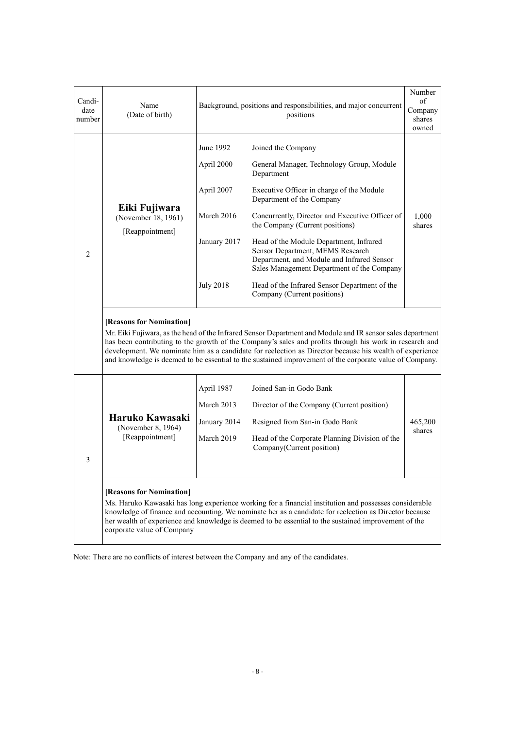| Candi-<br>date<br>number | Name<br>(Date of birth)                                                                                                                                                                                                                                                                                                                                                            |                                                 | Background, positions and responsibilities, and major concurrent<br>positions                                                                                                                                                                                                                                                                                                                                                               |                 |  |
|--------------------------|------------------------------------------------------------------------------------------------------------------------------------------------------------------------------------------------------------------------------------------------------------------------------------------------------------------------------------------------------------------------------------|-------------------------------------------------|---------------------------------------------------------------------------------------------------------------------------------------------------------------------------------------------------------------------------------------------------------------------------------------------------------------------------------------------------------------------------------------------------------------------------------------------|-----------------|--|
|                          |                                                                                                                                                                                                                                                                                                                                                                                    | June 1992                                       | Joined the Company                                                                                                                                                                                                                                                                                                                                                                                                                          |                 |  |
|                          |                                                                                                                                                                                                                                                                                                                                                                                    | April 2000                                      | General Manager, Technology Group, Module<br>Department                                                                                                                                                                                                                                                                                                                                                                                     |                 |  |
|                          |                                                                                                                                                                                                                                                                                                                                                                                    | April 2007                                      | Executive Officer in charge of the Module<br>Department of the Company                                                                                                                                                                                                                                                                                                                                                                      |                 |  |
|                          | Eiki Fujiwara<br>(November 18, 1961)<br>[Reappointment]                                                                                                                                                                                                                                                                                                                            | March 2016                                      | Concurrently, Director and Executive Officer of<br>the Company (Current positions)                                                                                                                                                                                                                                                                                                                                                          | 1,000<br>shares |  |
| $\overline{2}$           |                                                                                                                                                                                                                                                                                                                                                                                    | January 2017                                    | Head of the Module Department, Infrared<br>Sensor Department, MEMS Research<br>Department, and Module and Infrared Sensor<br>Sales Management Department of the Company<br>Head of the Infrared Sensor Department of the                                                                                                                                                                                                                    |                 |  |
|                          |                                                                                                                                                                                                                                                                                                                                                                                    | <b>July 2018</b><br>Company (Current positions) |                                                                                                                                                                                                                                                                                                                                                                                                                                             |                 |  |
|                          | [Reasons for Nomination]                                                                                                                                                                                                                                                                                                                                                           |                                                 | Mr. Eiki Fujiwara, as the head of the Infrared Sensor Department and Module and IR sensor sales department<br>has been contributing to the growth of the Company's sales and profits through his work in research and<br>development. We nominate him as a candidate for reelection as Director because his wealth of experience<br>and knowledge is deemed to be essential to the sustained improvement of the corporate value of Company. |                 |  |
|                          |                                                                                                                                                                                                                                                                                                                                                                                    | April 1987                                      | Joined San-in Godo Bank                                                                                                                                                                                                                                                                                                                                                                                                                     |                 |  |
|                          |                                                                                                                                                                                                                                                                                                                                                                                    | March 2013                                      | Director of the Company (Current position)                                                                                                                                                                                                                                                                                                                                                                                                  |                 |  |
|                          | Haruko Kawasaki<br>(November 8, 1964)                                                                                                                                                                                                                                                                                                                                              | January 2014                                    | Resigned from San-in Godo Bank                                                                                                                                                                                                                                                                                                                                                                                                              | 465,200         |  |
| 3                        | [Reappointment]                                                                                                                                                                                                                                                                                                                                                                    | March 2019                                      | Head of the Corporate Planning Division of the<br>Company(Current position)                                                                                                                                                                                                                                                                                                                                                                 | shares          |  |
|                          | [Reasons for Nomination]<br>Ms. Haruko Kawasaki has long experience working for a financial institution and possesses considerable<br>knowledge of finance and accounting. We nominate her as a candidate for reelection as Director because<br>her wealth of experience and knowledge is deemed to be essential to the sustained improvement of the<br>corporate value of Company |                                                 |                                                                                                                                                                                                                                                                                                                                                                                                                                             |                 |  |

Note: There are no conflicts of interest between the Company and any of the candidates.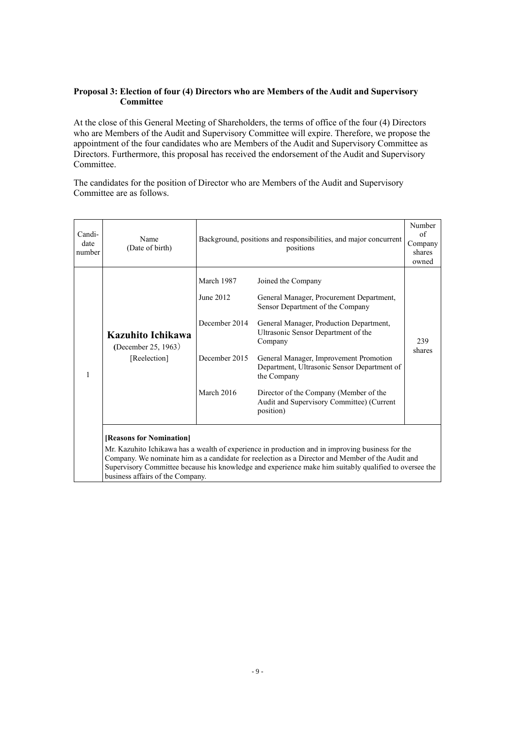# **Proposal 3: Election of four (4) Directors who are Members of the Audit and Supervisory Committee**

At the close of this General Meeting of Shareholders, the terms of office of the four (4) Directors who are Members of the Audit and Supervisory Committee will expire. Therefore, we propose the appointment of the four candidates who are Members of the Audit and Supervisory Committee as Directors. Furthermore, this proposal has received the endorsement of the Audit and Supervisory Committee.

The candidates for the position of Director who are Members of the Audit and Supervisory Committee are as follows.

| Candi-<br>date<br>number | Name<br>(Date of birth)                                      |                                                                         | Background, positions and responsibilities, and major concurrent<br>positions                                                                                                                                                                                                                                                                                                                               |               |  |
|--------------------------|--------------------------------------------------------------|-------------------------------------------------------------------------|-------------------------------------------------------------------------------------------------------------------------------------------------------------------------------------------------------------------------------------------------------------------------------------------------------------------------------------------------------------------------------------------------------------|---------------|--|
| 1                        | Kazuhito Ichikawa<br>(December 25, 1963)<br>[Reelection]     | March 1987<br>June 2012<br>December 2014<br>December 2015<br>March 2016 | Joined the Company<br>General Manager, Procurement Department,<br>Sensor Department of the Company<br>General Manager, Production Department,<br>Ultrasonic Sensor Department of the<br>Company<br>General Manager, Improvement Promotion<br>Department, Ultrasonic Sensor Department of<br>the Company<br>Director of the Company (Member of the<br>Audit and Supervisory Committee) (Current<br>position) | 239<br>shares |  |
|                          | [Reasons for Nomination]<br>business affairs of the Company. |                                                                         | Mr. Kazuhito Ichikawa has a wealth of experience in production and in improving business for the<br>Company. We nominate him as a candidate for reelection as a Director and Member of the Audit and<br>Supervisory Committee because his knowledge and experience make him suitably qualified to oversee the                                                                                               |               |  |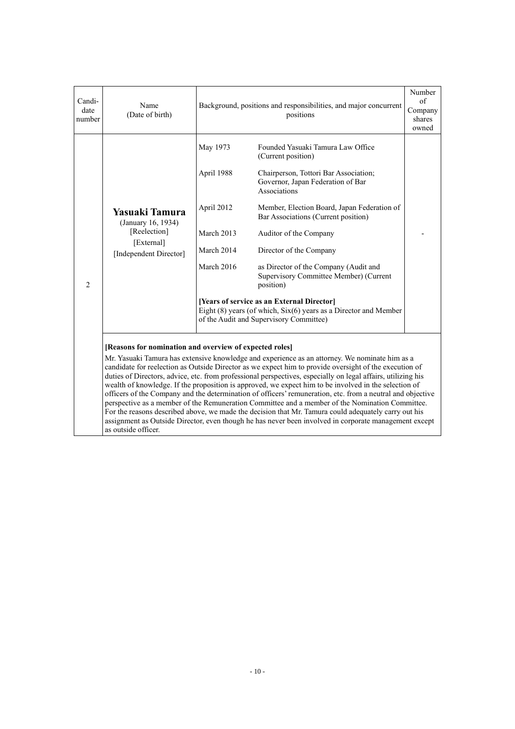| Candi-<br>date<br>number | Name<br>(Date of birth)                                 | Background, positions and responsibilities, and major concurrent | Number<br>of<br>Company<br>shares<br>owned                                                                                                                                                                                                                                                                                                                                                                                                                                                                                                                                                                                                                                                                                                                                                                                                                          |  |  |
|--------------------------|---------------------------------------------------------|------------------------------------------------------------------|---------------------------------------------------------------------------------------------------------------------------------------------------------------------------------------------------------------------------------------------------------------------------------------------------------------------------------------------------------------------------------------------------------------------------------------------------------------------------------------------------------------------------------------------------------------------------------------------------------------------------------------------------------------------------------------------------------------------------------------------------------------------------------------------------------------------------------------------------------------------|--|--|
|                          |                                                         | May 1973                                                         | Founded Yasuaki Tamura Law Office<br>(Current position)                                                                                                                                                                                                                                                                                                                                                                                                                                                                                                                                                                                                                                                                                                                                                                                                             |  |  |
|                          |                                                         | April 1988                                                       | Chairperson, Tottori Bar Association;<br>Governor, Japan Federation of Bar<br>Associations                                                                                                                                                                                                                                                                                                                                                                                                                                                                                                                                                                                                                                                                                                                                                                          |  |  |
|                          | Yasuaki Tamura<br>(January 16, 1934)                    | April 2012                                                       | Member, Election Board, Japan Federation of<br>Bar Associations (Current position)                                                                                                                                                                                                                                                                                                                                                                                                                                                                                                                                                                                                                                                                                                                                                                                  |  |  |
|                          | [Reelection]<br>[External]<br>[Independent Director]    | March 2013                                                       | Auditor of the Company                                                                                                                                                                                                                                                                                                                                                                                                                                                                                                                                                                                                                                                                                                                                                                                                                                              |  |  |
|                          |                                                         | March 2014                                                       | Director of the Company                                                                                                                                                                                                                                                                                                                                                                                                                                                                                                                                                                                                                                                                                                                                                                                                                                             |  |  |
| $\overline{c}$           |                                                         | March 2016                                                       | as Director of the Company (Audit and<br>Supervisory Committee Member) (Current<br>position)                                                                                                                                                                                                                                                                                                                                                                                                                                                                                                                                                                                                                                                                                                                                                                        |  |  |
|                          |                                                         |                                                                  | [Years of service as an External Director]<br>Eight $(8)$ years (of which, $Six(6)$ years as a Director and Member<br>of the Audit and Supervisory Committee)                                                                                                                                                                                                                                                                                                                                                                                                                                                                                                                                                                                                                                                                                                       |  |  |
|                          | [Reasons for nomination and overview of expected roles] |                                                                  |                                                                                                                                                                                                                                                                                                                                                                                                                                                                                                                                                                                                                                                                                                                                                                                                                                                                     |  |  |
|                          | as outside officer.                                     |                                                                  | Mr. Yasuaki Tamura has extensive knowledge and experience as an attorney. We nominate him as a<br>candidate for reelection as Outside Director as we expect him to provide oversight of the execution of<br>duties of Directors, advice, etc. from professional perspectives, especially on legal affairs, utilizing his<br>wealth of knowledge. If the proposition is approved, we expect him to be involved in the selection of<br>officers of the Company and the determination of officers' remuneration, etc. from a neutral and objective<br>perspective as a member of the Remuneration Committee and a member of the Nomination Committee.<br>For the reasons described above, we made the decision that Mr. Tamura could adequately carry out his<br>assignment as Outside Director, even though he has never been involved in corporate management except |  |  |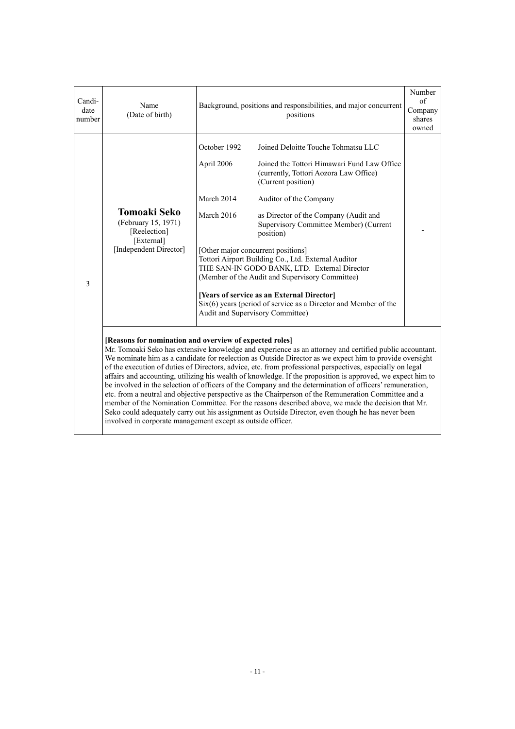| Candi-<br>date<br>number                                                                                                                                                                                                                                                                                                                                                                                                                                                                                                                                                                                                                                                                                                                                                                                                                                                                                                                                                                                | Name<br>(Date of birth)                                                                     | Background, positions and responsibilities, and major concurrent                                                                 | Number<br>$\sigma$ f<br>Company<br>shares<br>owned                                                                                                                                                                                                                                                                                                                                                                                                                                                                                                        |  |
|---------------------------------------------------------------------------------------------------------------------------------------------------------------------------------------------------------------------------------------------------------------------------------------------------------------------------------------------------------------------------------------------------------------------------------------------------------------------------------------------------------------------------------------------------------------------------------------------------------------------------------------------------------------------------------------------------------------------------------------------------------------------------------------------------------------------------------------------------------------------------------------------------------------------------------------------------------------------------------------------------------|---------------------------------------------------------------------------------------------|----------------------------------------------------------------------------------------------------------------------------------|-----------------------------------------------------------------------------------------------------------------------------------------------------------------------------------------------------------------------------------------------------------------------------------------------------------------------------------------------------------------------------------------------------------------------------------------------------------------------------------------------------------------------------------------------------------|--|
| 3                                                                                                                                                                                                                                                                                                                                                                                                                                                                                                                                                                                                                                                                                                                                                                                                                                                                                                                                                                                                       | Tomoaki Seko<br>(February 15, 1971)<br>[Reelection]<br>[External]<br>[Independent Director] | October 1992<br>April 2006<br>March 2014<br>March 2016<br>[Other major concurrent positions]<br>Audit and Supervisory Committee) | Joined Deloitte Touche Tohmatsu LLC<br>Joined the Tottori Himawari Fund Law Office<br>(currently, Tottori Aozora Law Office)<br>(Current position)<br>Auditor of the Company<br>as Director of the Company (Audit and<br>Supervisory Committee Member) (Current<br>position)<br>Tottori Airport Building Co., Ltd. External Auditor<br>THE SAN-IN GODO BANK, LTD. External Director<br>(Member of the Audit and Supervisory Committee)<br>[Years of service as an External Director]<br>$Six(6)$ years (period of service as a Director and Member of the |  |
| [Reasons for nomination and overview of expected roles]<br>Mr. Tomoaki Seko has extensive knowledge and experience as an attorney and certified public accountant.<br>We nominate him as a candidate for reelection as Outside Director as we expect him to provide oversight<br>of the execution of duties of Directors, advice, etc. from professional perspectives, especially on legal<br>affairs and accounting, utilizing his wealth of knowledge. If the proposition is approved, we expect him to<br>be involved in the selection of officers of the Company and the determination of officers' remuneration,<br>etc. from a neutral and objective perspective as the Chairperson of the Remuneration Committee and a<br>member of the Nomination Committee. For the reasons described above, we made the decision that Mr.<br>Seko could adequately carry out his assignment as Outside Director, even though he has never been<br>involved in corporate management except as outside officer. |                                                                                             |                                                                                                                                  |                                                                                                                                                                                                                                                                                                                                                                                                                                                                                                                                                           |  |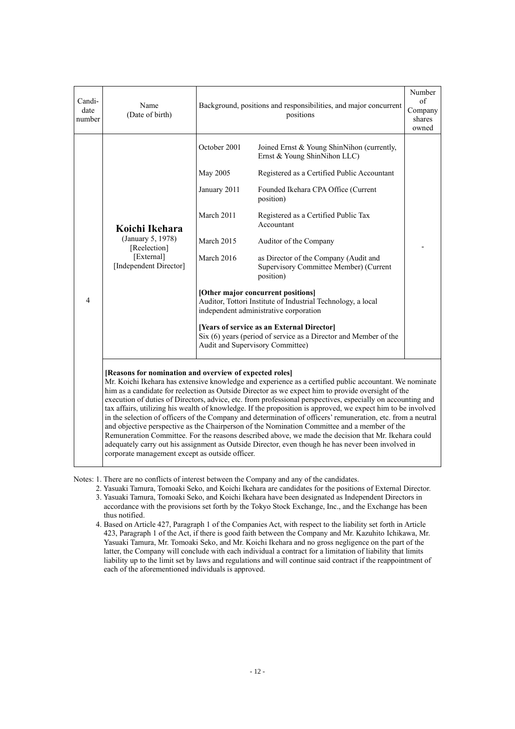| Candi-<br>date<br>number | Name<br>(Date of birth)                         | Background, positions and responsibilities, and major concurrent                                                                                                                                                                                                                                                                                                                                                                                                                                                                                                                                                                                                                                                                                                                                                                                                                                                                      | Number<br>of<br>Company<br>shares<br>owned                                                                                                         |  |  |  |
|--------------------------|-------------------------------------------------|---------------------------------------------------------------------------------------------------------------------------------------------------------------------------------------------------------------------------------------------------------------------------------------------------------------------------------------------------------------------------------------------------------------------------------------------------------------------------------------------------------------------------------------------------------------------------------------------------------------------------------------------------------------------------------------------------------------------------------------------------------------------------------------------------------------------------------------------------------------------------------------------------------------------------------------|----------------------------------------------------------------------------------------------------------------------------------------------------|--|--|--|
|                          |                                                 | October 2001                                                                                                                                                                                                                                                                                                                                                                                                                                                                                                                                                                                                                                                                                                                                                                                                                                                                                                                          | Joined Ernst & Young ShinNihon (currently,<br>Ernst & Young ShinNihon LLC)                                                                         |  |  |  |
|                          |                                                 | May 2005                                                                                                                                                                                                                                                                                                                                                                                                                                                                                                                                                                                                                                                                                                                                                                                                                                                                                                                              | Registered as a Certified Public Accountant                                                                                                        |  |  |  |
|                          |                                                 | January 2011                                                                                                                                                                                                                                                                                                                                                                                                                                                                                                                                                                                                                                                                                                                                                                                                                                                                                                                          | Founded Ikehara CPA Office (Current<br>position)                                                                                                   |  |  |  |
|                          | Koichi Ikehara                                  | March 2011                                                                                                                                                                                                                                                                                                                                                                                                                                                                                                                                                                                                                                                                                                                                                                                                                                                                                                                            | Registered as a Certified Public Tax<br>Accountant                                                                                                 |  |  |  |
|                          | (January 5, 1978)<br>[Reelection]               | March 2015                                                                                                                                                                                                                                                                                                                                                                                                                                                                                                                                                                                                                                                                                                                                                                                                                                                                                                                            | Auditor of the Company                                                                                                                             |  |  |  |
|                          | [External]<br>[Independent Director]            | March 2016                                                                                                                                                                                                                                                                                                                                                                                                                                                                                                                                                                                                                                                                                                                                                                                                                                                                                                                            | as Director of the Company (Audit and<br>Supervisory Committee Member) (Current<br>position)                                                       |  |  |  |
| 4                        |                                                 | [Other major concurrent positions]<br>Auditor, Tottori Institute of Industrial Technology, a local<br>independent administrative corporation                                                                                                                                                                                                                                                                                                                                                                                                                                                                                                                                                                                                                                                                                                                                                                                          |                                                                                                                                                    |  |  |  |
|                          |                                                 |                                                                                                                                                                                                                                                                                                                                                                                                                                                                                                                                                                                                                                                                                                                                                                                                                                                                                                                                       | [Years of service as an External Director]<br>Six (6) years (period of service as a Director and Member of the<br>Audit and Supervisory Committee) |  |  |  |
|                          | corporate management except as outside officer. | [Reasons for nomination and overview of expected roles]<br>Mr. Koichi Ikehara has extensive knowledge and experience as a certified public accountant. We nominate<br>him as a candidate for reelection as Outside Director as we expect him to provide oversight of the<br>execution of duties of Directors, advice, etc. from professional perspectives, especially on accounting and<br>tax affairs, utilizing his wealth of knowledge. If the proposition is approved, we expect him to be involved<br>in the selection of officers of the Company and determination of officers' remuneration, etc. from a neutral<br>and objective perspective as the Chairperson of the Nomination Committee and a member of the<br>Remuneration Committee. For the reasons described above, we made the decision that Mr. Ikehara could<br>adequately carry out his assignment as Outside Director, even though he has never been involved in |                                                                                                                                                    |  |  |  |

Notes: 1. There are no conflicts of interest between the Company and any of the candidates.

- 2. Yasuaki Tamura, Tomoaki Seko, and Koichi Ikehara are candidates for the positions of External Director. 3. Yasuaki Tamura, Tomoaki Seko, and Koichi Ikehara have been designated as Independent Directors in
- accordance with the provisions set forth by the Tokyo Stock Exchange, Inc., and the Exchange has been thus notified.
- 4. Based on Article 427, Paragraph 1 of the Companies Act, with respect to the liability set forth in Article 423, Paragraph 1 of the Act, if there is good faith between the Company and Mr. Kazuhito Ichikawa, Mr. Yasuaki Tamura, Mr. Tomoaki Seko, and Mr. Koichi Ikehara and no gross negligence on the part of the latter, the Company will conclude with each individual a contract for a limitation of liability that limits liability up to the limit set by laws and regulations and will continue said contract if the reappointment of each of the aforementioned individuals is approved.